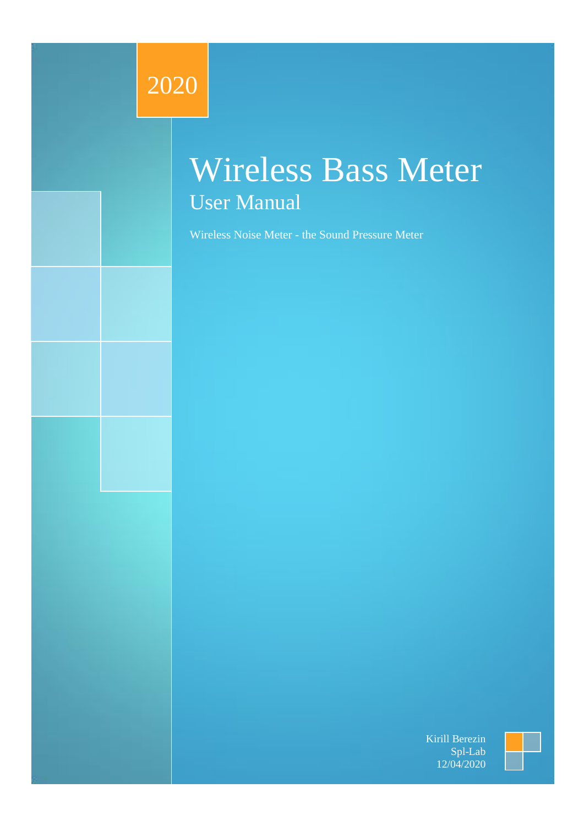# 2020

# Wireless Bass Meter User Manual

Wireless Noise Meter - the Sound Pressure Meter

Kirill Berezin Spl-Lab 12/04/2020

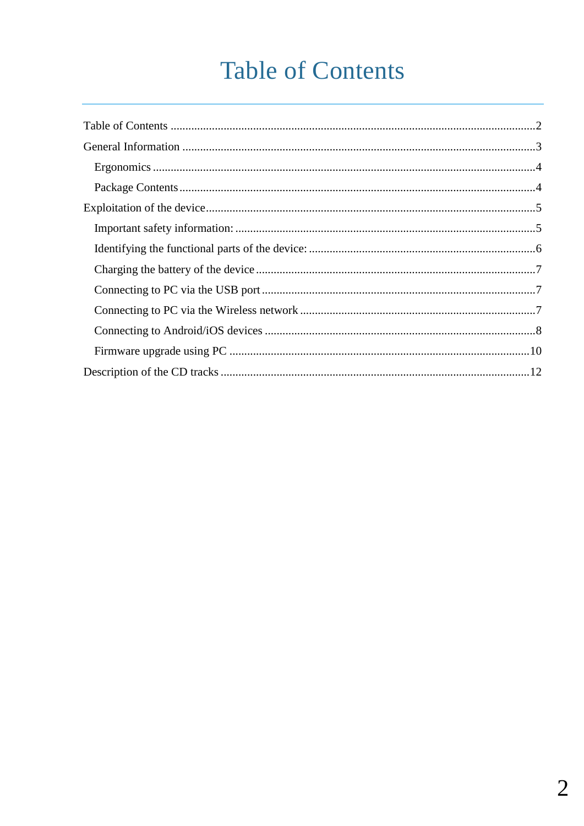# **Table of Contents**

<span id="page-1-0"></span>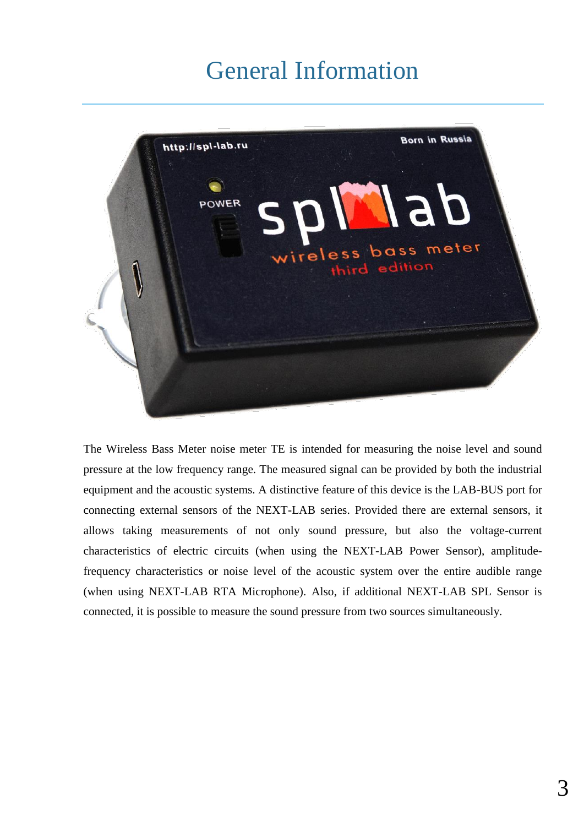## General Information

<span id="page-2-0"></span>

The Wireless Bass Meter noise meter TE is intended for measuring the noise level and sound pressure at the low frequency range. The measured signal can be provided by both the industrial equipment and the acoustic systems. A distinctive feature of this device is the LAB-BUS port for connecting external sensors of the NEXT-LAB series. Provided there are external sensors, it allows taking measurements of not only sound pressure, but also the voltage-current characteristics of electric circuits (when using the NEXT-LAB Power Sensor), amplitudefrequency characteristics or noise level of the acoustic system over the entire audible range (when using NEXT-LAB RTA Microphone). Also, if additional NEXT-LAB SPL Sensor is connected, it is possible to measure the sound pressure from two sources simultaneously.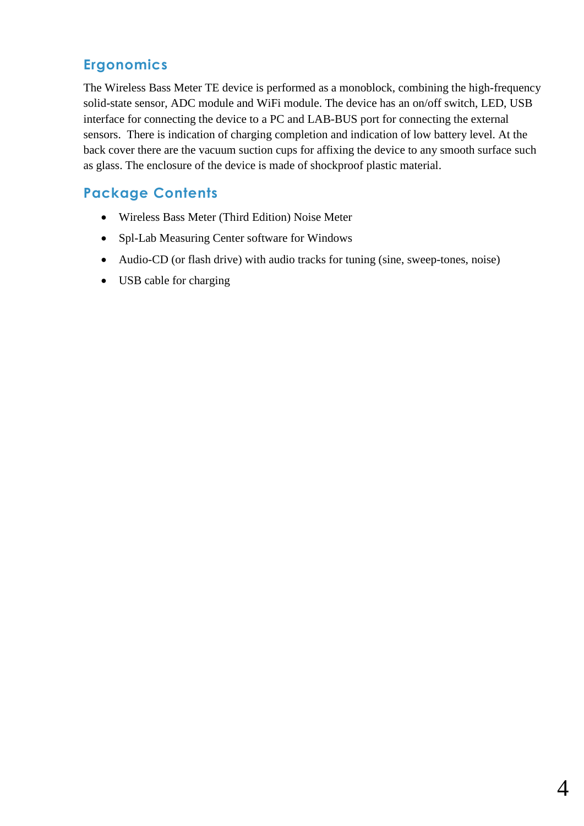### <span id="page-3-0"></span>**Ergonomics**

The Wireless Bass Meter TE device is performed as a monoblock, combining the high-frequency solid-state sensor, ADC module and WiFi module. The device has an on/off switch, LED, USB interface for connecting the device to a PC and LAB-BUS port for connecting the external sensors. There is indication of charging completion and indication of low battery level. At the back cover there are the vacuum suction cups for affixing the device to any smooth surface such as glass. The enclosure of the device is made of shockproof plastic material.

### <span id="page-3-1"></span>**Package Contents**

- Wireless Bass Meter (Third Edition) Noise Meter
- Spl-Lab Measuring Center software for Windows
- Audio-CD (or flash drive) with audio tracks for tuning (sine, sweep-tones, noise)
- USB cable for charging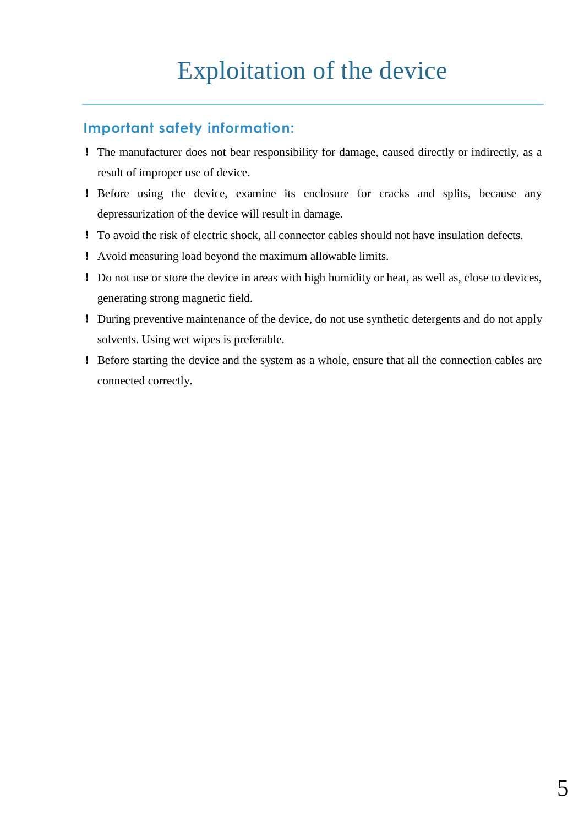## Exploitation of the device

#### <span id="page-4-1"></span><span id="page-4-0"></span>**Important safety information:**

- ! The manufacturer does not bear responsibility for damage, caused directly or indirectly, as a result of improper use of device.
- ! Before using the device, examine its enclosure for cracks and splits, because any depressurization of the device will result in damage.
- ! To avoid the risk of electric shock, all connector cables should not have insulation defects.
- ! Avoid measuring load beyond the maximum allowable limits.
- ! Do not use or store the device in areas with high humidity or heat, as well as, close to devices, generating strong magnetic field.
- ! During preventive maintenance of the device, do not use synthetic detergents and do not apply solvents. Using wet wipes is preferable.
- ! Before starting the device and the system as a whole, ensure that all the connection cables are connected correctly.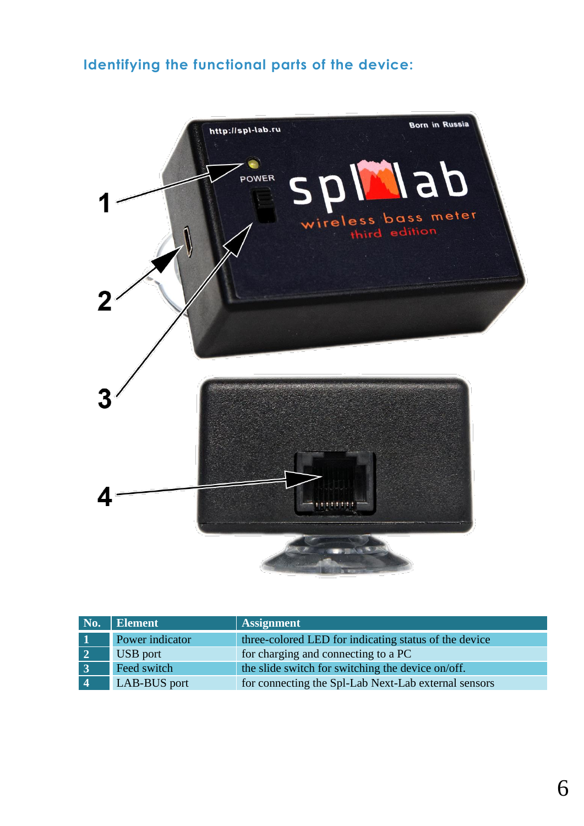## <span id="page-5-0"></span>**Identifying the functional parts of the device:**



| No.             | Element         | <b>Assignment</b>                                     |
|-----------------|-----------------|-------------------------------------------------------|
|                 | Power indicator | three-colored LED for indicating status of the device |
| $\vert 2 \vert$ | <b>USB</b> port | for charging and connecting to a PC                   |
| $\overline{3}$  | Feed switch     | the slide switch for switching the device on/off.     |
| $\overline{4}$  | LAB-BUS port    | for connecting the Spl-Lab Next-Lab external sensors  |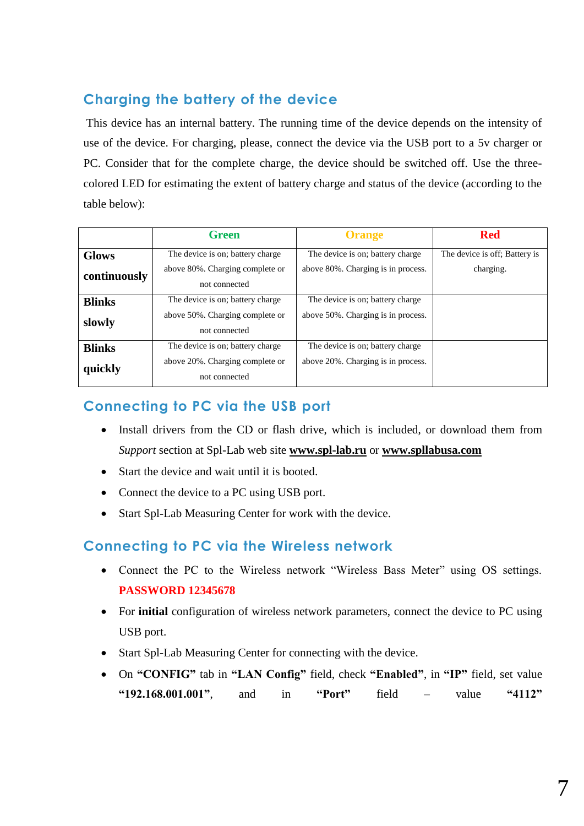## <span id="page-6-0"></span>**Charging the battery of the device**

This device has an internal battery. The running time of the device depends on the intensity of use of the device. For charging, please, connect the device via the USB port to a 5v charger or PC. Consider that for the complete charge, the device should be switched off. Use the threecolored LED for estimating the extent of battery charge and status of the device (according to the table below):

|               | <b>Green</b>                                     | <b>Orange</b>                      | <b>Red</b>                    |
|---------------|--------------------------------------------------|------------------------------------|-------------------------------|
| <b>Glows</b>  | The device is on; battery charge                 | The device is on; battery charge   | The device is off; Battery is |
| continuously  | above 80%. Charging complete or<br>not connected | above 80%. Charging is in process. | charging.                     |
| <b>Blinks</b> | The device is on; battery charge                 | The device is on; battery charge   |                               |
| slowly        | above 50%. Charging complete or<br>not connected | above 50%. Charging is in process. |                               |
| <b>Blinks</b> | The device is on; battery charge                 | The device is on; battery charge   |                               |
| quickly       | above 20%. Charging complete or<br>not connected | above 20%. Charging is in process. |                               |

#### <span id="page-6-1"></span>**Connecting to PC via the USB port**

- Install drivers from the CD or flash drive, which is included, or download them from *Support* section at Spl-Lab web site **[www.spl-lab.ru](http://www.spl-lab.ru/)** or **[www.spllabusa.com](http://www.spllabusa.com/)**
- Start the device and wait until it is booted.
- Connect the device to a PC using USB port.
- Start Spl-Lab Measuring Center for work with the device.

#### <span id="page-6-2"></span>**Connecting to PC via the Wireless network**

- Connect the PC to the Wireless network "Wireless Bass Meter" using OS settings. **PASSWORD 12345678**
- For **initial** configuration of wireless network parameters, connect the device to PC using USB port.
- Start Spl-Lab Measuring Center for connecting with the device.
- On **"CONFIG"** tab in **"LAN Config"** field, check **"Enabled"**, in **"IP"** field, set value **"192.168.001.001"**, and in **"Port"** field – value **"4112"**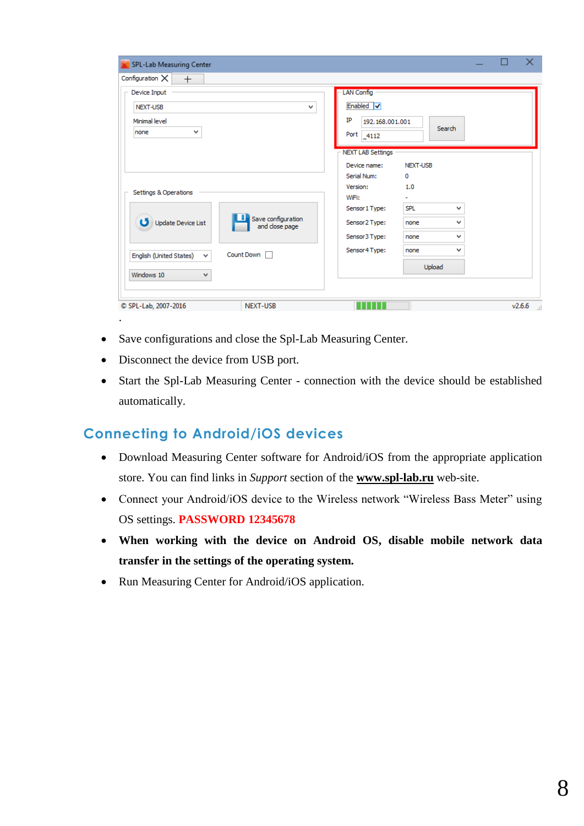| Configuration $\times$<br>$^{+}$                                                                                                       |                                                                                                                                                                                                                                                            |
|----------------------------------------------------------------------------------------------------------------------------------------|------------------------------------------------------------------------------------------------------------------------------------------------------------------------------------------------------------------------------------------------------------|
| Device Input<br>NEXT-USB<br>v<br>Minimal level<br>v<br>none                                                                            | <b>LAN Config</b><br>Enabled V<br>IP<br>192, 168, 001, 001<br>Search<br>Port 4112                                                                                                                                                                          |
| Settings & Operations<br>Save configuration<br>ပ<br>Update Device List<br>and close page<br>Count Down<br>English (United States)<br>v | <b>NEXT LAB Settings</b><br>Device name:<br>NEXT-USB<br>Serial Num:<br>0<br>1.0<br>Version:<br>WiFi:<br>Sensor 1 Type:<br><b>SPL</b><br>v<br>Sensor 2 Type:<br>v<br>none<br>Sensor 3 Type:<br>v<br>none<br>Sensor4 Type:<br>$\checkmark$<br>none<br>Upload |
| Windows 10<br>v                                                                                                                        |                                                                                                                                                                                                                                                            |

- Save configurations and close the Spl-Lab Measuring Center.
- Disconnect the device from USB port.
- Start the Spl-Lab Measuring Center connection with the device should be established automatically.

#### <span id="page-7-0"></span>**Connecting to Android/iOS devices**

- Download Measuring Center software for Android/iOS from the appropriate application store. You can find links in *Support* section of the **[www.spl-lab.ru](http://www.spl-lab.ru/)** web-site.
- Connect your Android/iOS device to the Wireless network "Wireless Bass Meter" using OS settings. **PASSWORD 12345678**
- **When working with the device on Android OS, disable mobile network data transfer in the settings of the operating system.**
- Run Measuring Center for Android/iOS application.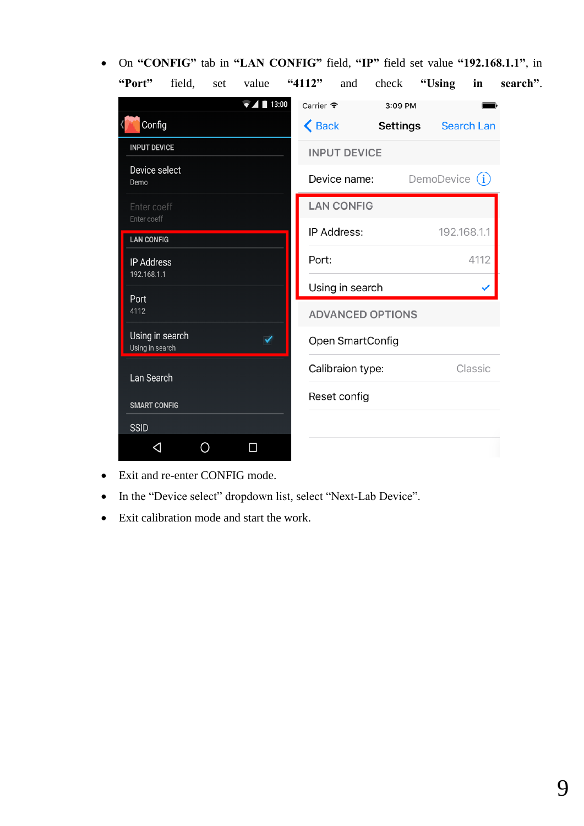On **"CONFIG"** tab in **"LAN CONFIG"** field, **"IP"** field set value **"192.168.1.1"**, in **"Port"** field, set value **"4112"** and check **"Using in search"**.

| 13:00                                                      | Carrier $\widehat{\mathcal{F}}$<br>3:09 PM               |
|------------------------------------------------------------|----------------------------------------------------------|
| Config<br>$\langle$                                        | $\triangle$ Back<br><b>Settings</b><br><b>Search Lan</b> |
| <b>INPUT DEVICE</b>                                        | <b>INPUT DEVICE</b>                                      |
| Device select<br>Demo                                      | DemoDevice (i)<br>Device name:                           |
| Enter coeff<br>Enter coeff                                 | <b>LAN CONFIG</b>                                        |
| <b>LAN CONFIG</b>                                          | <b>IP Address:</b><br>192.168.1.1                        |
| <b>IP Address</b><br>192.168.1.1                           | 4112<br>Port:                                            |
| Port                                                       | Using in search                                          |
| 4112                                                       | <b>ADVANCED OPTIONS</b>                                  |
| Using in search<br>$\blacktriangledown$<br>Using in search | Open SmartConfig                                         |
| Lan Search                                                 | Calibraion type:<br>Classic                              |
| <b>SMART CONFIG</b>                                        | Reset config                                             |
| <b>SSID</b>                                                |                                                          |
| П<br>◁                                                     |                                                          |

- Exit and re-enter CONFIG mode.
- In the "Device select" dropdown list, select "Next-Lab Device".
- Exit calibration mode and start the work.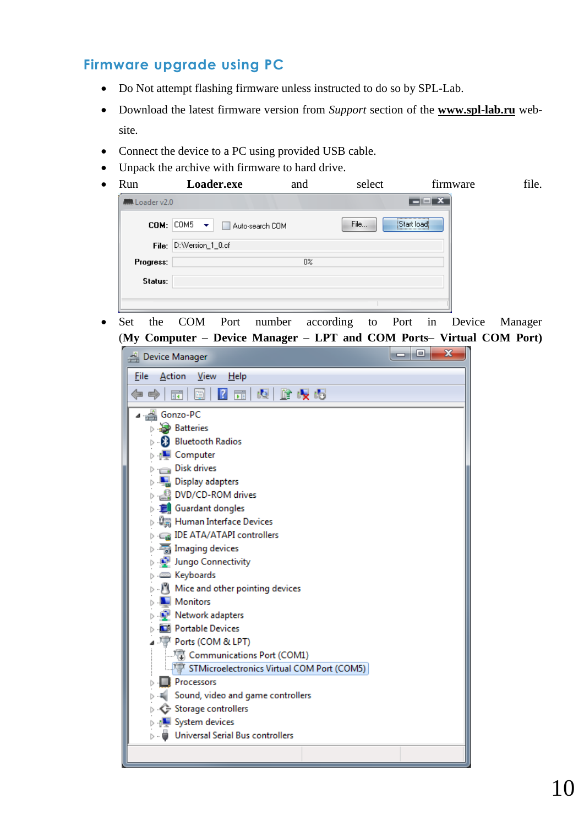## <span id="page-9-0"></span>**Firmware upgrade using PC**

- Do Not attempt flashing firmware unless instructed to do so by SPL-Lab.
- Download the latest firmware version from *Support* section of the **[www.spl-lab.ru](http://www.spl-lab.ru/)** website.
- Connect the device to a PC using provided USB cable.
- Unpack the archive with firmware to hard drive.

| Run<br>$\bullet$ |                | Loader.exe                                                                                                                                                                                                                                                                       | and   | select | firmware            | file. |
|------------------|----------------|----------------------------------------------------------------------------------------------------------------------------------------------------------------------------------------------------------------------------------------------------------------------------------|-------|--------|---------------------|-------|
|                  | Mullbader v2.0 |                                                                                                                                                                                                                                                                                  |       |        | $\Box$ $\mathbf{X}$ |       |
|                  |                | $COM:  COM5 - \star $<br>Auto-search COM<br><b>The Contract of the Contract of the Contract of the Contract of the Contract of the Contract of the Contract of the Contract of the Contract of the Contract of the Contract of the Contract of The Contract of The Contract </b> |       | File   | <br>Start load<br>  |       |
|                  |                | File: D:Wersion_1_0.cf                                                                                                                                                                                                                                                           |       |        |                     |       |
|                  | Progress:      |                                                                                                                                                                                                                                                                                  | $0\%$ |        |                     |       |
|                  | Status:        |                                                                                                                                                                                                                                                                                  |       |        |                     |       |
|                  |                |                                                                                                                                                                                                                                                                                  |       |        |                     |       |
|                  |                |                                                                                                                                                                                                                                                                                  |       |        |                     |       |

 Set the COM Port number according to Port in Device Manager (**My Computer – Device Manager – LPT and COM Ports– Virtual COM Port)**

| Device Manager                                                   | x<br>e |
|------------------------------------------------------------------|--------|
| File<br><b>Action</b><br><u>View</u><br>Help                     |        |
| $\vert$ ?<br> Q  LÊ QY 05 <br>請<br>眉<br>爾                        |        |
| Gonzo-PC                                                         |        |
| <b>Batteries</b>                                                 |        |
| <b>8</b> Bluetooth Radios                                        |        |
| ⊳ <sub>1</sub> ■ Computer                                        |        |
| $\triangleright$ $\equiv$ Disk drives                            |        |
| <b>Display adapters</b>                                          |        |
| DVD/CD-ROM drives                                                |        |
| <b>D</b> Guardant dongles                                        |        |
| ▷ 『圖 Human Interface Devices                                     |        |
| <b>DE ATA/ATAPI controllers</b>                                  |        |
| $\triangleright$ $\frac{1}{2}$ Imaging devices                   |        |
| ⊳ . Dungo Connectivity                                           |        |
| ⊳ . <u>©</u> Keyboards                                           |        |
| $\triangleright$ $\cdot$ $\cdot$ Mice and other pointing devices |        |
| Monitors                                                         |        |
| Network adapters                                                 |        |
| <b>D</b> Portable Devices                                        |        |
| ⊿ 『『『Ports (COM & LPT)                                           |        |
| 『 Communications Port (COM1)                                     |        |
| STMicroelectronics Virtual COM Port (COM5)                       |        |
| <b>Processors</b>                                                |        |
| Sound, video and game controllers                                |        |
| Storage controllers                                              |        |
| <b>D</b> System devices                                          |        |
| Universal Serial Bus controllers                                 |        |
|                                                                  |        |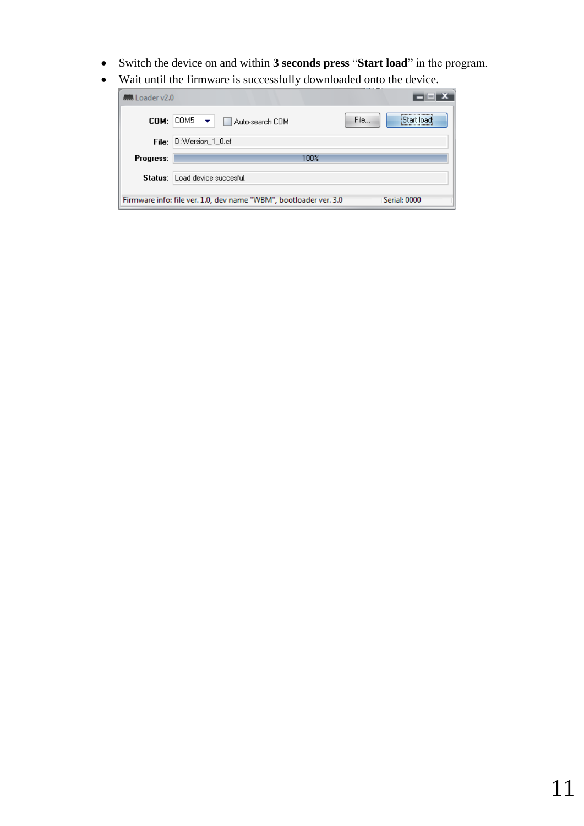- Switch the device on and within **3 seconds press** "**Start load**" in the program.
- Wait until the firmware is successfully downloaded onto the device.

| <b>M</b> Loader v2.0 |                                                                                   |  |
|----------------------|-----------------------------------------------------------------------------------|--|
| $COM:$ $COM5$        | File<br>iStart loadi<br>$\rightarrow$<br>Auto-search COM                          |  |
| File:                | D:Wersion_1_0.cf                                                                  |  |
| Progress:            | 100%                                                                              |  |
|                      | Status: Load device succesful.                                                    |  |
|                      | Serial: 0000<br>Firmware info: file ver. 1.0, dev name "WBM", bootloader ver. 3.0 |  |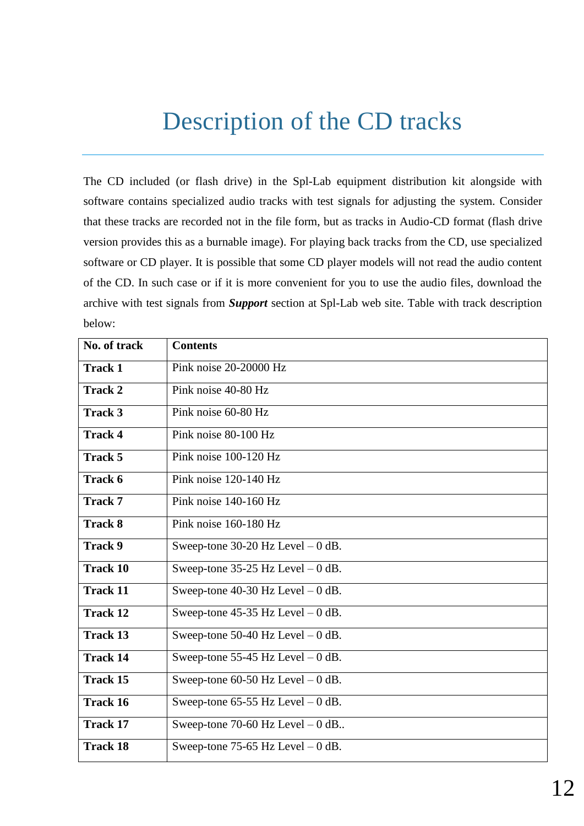## Description of the CD tracks

<span id="page-11-0"></span>The CD included (or flash drive) in the Spl-Lab equipment distribution kit alongside with software contains specialized audio tracks with test signals for adjusting the system. Consider that these tracks are recorded not in the file form, but as tracks in Audio-CD format (flash drive version provides this as a burnable image). For playing back tracks from the CD, use specialized software or CD player. It is possible that some CD player models will not read the audio content of the CD. In such case or if it is more convenient for you to use the audio files, download the archive with test signals from *Support* section at Spl-Lab web site. Table with track description below:

| No. of track    | <b>Contents</b>                      |
|-----------------|--------------------------------------|
| <b>Track 1</b>  | Pink noise 20-20000 Hz               |
| <b>Track 2</b>  | Pink noise 40-80 Hz                  |
| <b>Track 3</b>  | Pink noise 60-80 Hz                  |
| <b>Track 4</b>  | Pink noise 80-100 Hz                 |
| Track 5         | Pink noise 100-120 Hz                |
| Track 6         | Pink noise 120-140 Hz                |
| <b>Track 7</b>  | Pink noise 140-160 Hz                |
| <b>Track 8</b>  | Pink noise 160-180 Hz                |
| <b>Track 9</b>  | Sweep-tone $30-20$ Hz Level $-0$ dB. |
| <b>Track 10</b> | Sweep-tone $35-25$ Hz Level $-0$ dB. |
| <b>Track 11</b> | Sweep-tone $40-30$ Hz Level $-0$ dB. |
| <b>Track 12</b> | Sweep-tone $45-35$ Hz Level $-0$ dB. |
| <b>Track 13</b> | Sweep-tone 50-40 Hz Level $-0$ dB.   |
| <b>Track 14</b> | Sweep-tone 55-45 Hz Level $-0$ dB.   |
| <b>Track 15</b> | Sweep-tone $60-50$ Hz Level $-0$ dB. |
| <b>Track 16</b> | Sweep-tone $65-55$ Hz Level $-0$ dB. |
| <b>Track 17</b> | Sweep-tone 70-60 Hz Level $-0$ dB    |
| <b>Track 18</b> | Sweep-tone 75-65 Hz Level $-0$ dB.   |